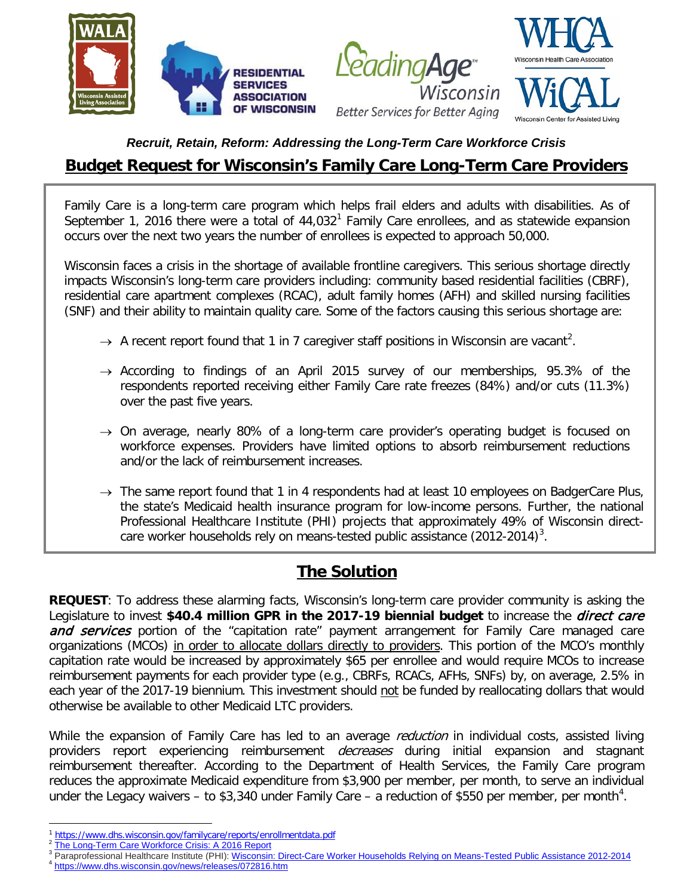

### *Recruit, Retain, Reform: Addressing the Long-Term Care Workforce Crisis*

# **Budget Request for Wisconsin's Family Care Long-Term Care Providers**

Family Care is a long-term care program which helps frail elders and adults with disabilities. As of September [1](#page-0-0), 2016 there were a total of  $44,032<sup>1</sup>$  Family Care enrollees, and as statewide expansion occurs over the next two years the number of enrollees is expected to approach 50,000.

Wisconsin faces a crisis in the shortage of available frontline caregivers. This serious shortage directly impacts Wisconsin's long-term care providers including: community based residential facilities (CBRF), residential care apartment complexes (RCAC), adult family homes (AFH) and skilled nursing facilities (SNF) and their ability to maintain quality care. Some of the factors causing this serious shortage are:

- $\rightarrow$  A recent report found that 1 in 7 caregiver staff positions in Wisconsin are vacant<sup>[2](#page-0-1)</sup>.
- $\rightarrow$  According to findings of an April 2015 survey of our memberships, 95.3% of the respondents reported receiving either Family Care rate freezes (84%) and/or cuts (11.3%) over the past five years.
- $\rightarrow$  On average, nearly 80% of a long-term care provider's operating budget is focused on workforce expenses. Providers have limited options to absorb reimbursement reductions and/or the lack of reimbursement increases.
- $\rightarrow$  The same report found that 1 in 4 respondents had at least 10 employees on BadgerCare Plus, the state's Medicaid health insurance program for low-income persons. Further, the national Professional Healthcare Institute (PHI) projects that approximately 49% of Wisconsin direct-care worker households rely on means-tested public assistance (2012-2014)<sup>[3](#page-0-2)</sup>.

## **The Solution**

**REQUEST**: To address these alarming facts, Wisconsin's long-term care provider community is asking the Legislature to invest **\$40.4 million GPR in the 2017-19 biennial budget** to increase the direct care and services portion of the "capitation rate" payment arrangement for Family Care managed care organizations (MCOs) in order to allocate dollars directly to providers. This portion of the MCO's monthly capitation rate would be increased by approximately \$65 per enrollee and would require MCOs to increase reimbursement payments for each provider type (e.g., CBRFs, RCACs, AFHs, SNFs) by, on average, 2.5% in each year of the 2017-19 biennium. This investment should not be funded by reallocating dollars that would otherwise be available to other Medicaid LTC providers.

While the expansion of Family Care has led to an average *reduction* in individual costs, assisted living providers report experiencing reimbursement *decreases* during initial expansion and stagnant reimbursement thereafter. According to the Department of Health Services, the Family Care program reduces the approximate Medicaid expenditure from \$3,900 per member, per month, to serve an individual under the Legacy waivers – to \$3,3[4](#page-0-3)0 under Family Care – a reduction of \$550 per member, per month<sup>4</sup>.

 $\overline{\phantom{a}}$ 

<span id="page-0-2"></span><span id="page-0-1"></span>

<span id="page-0-0"></span><sup>&</sup>lt;sup>1</sup> <https://www.dhs.wisconsin.gov/familycare/reports/enrollmentdata.pdf><br><sup>2</sup> [The Long-Term Care Workforce Crisis: A 2016 Report](http://files.constantcontact.com/eebfe59f101/13778233-9d91-46b2-b406-e4694a787c76.pdf)<br><sup>3</sup> Paraprofessional Healthcare Institute (PHI): <u>Wisconsin: Direct-Care Worker Households Rely</u>

<span id="page-0-3"></span>